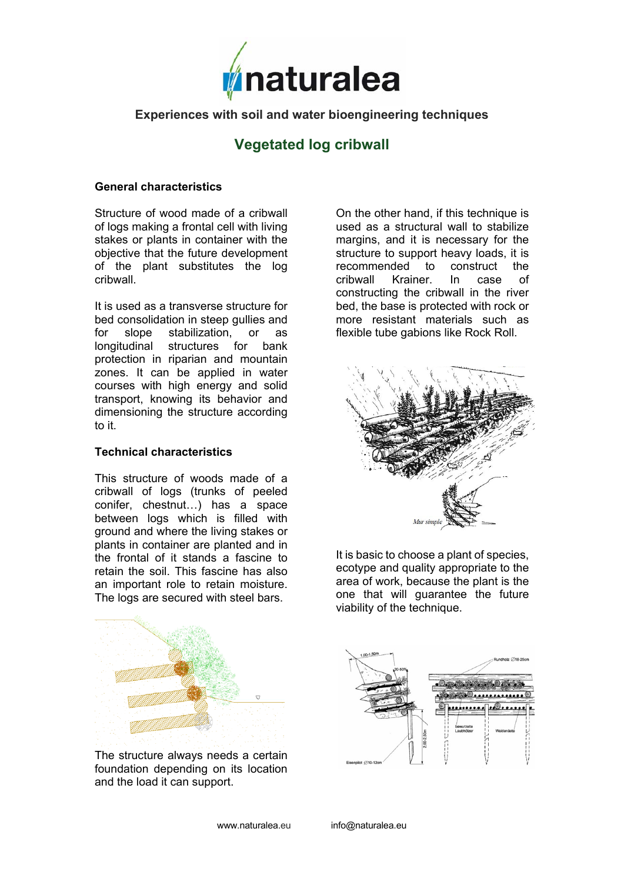

# **Experiences with soil and water bioengineering techniques**

# **Vegetated log cribwall**

#### **General characteristics**

Structure of wood made of a cribwall of logs making a frontal cell with living stakes or plants in container with the objective that the future development of the plant substitutes the log cribwall.

It is used as a transverse structure for bed consolidation in steep gullies and for slope stabilization, or as longitudinal structures for bank protection in riparian and mountain zones. It can be applied in water courses with high energy and solid transport, knowing its behavior and dimensioning the structure according to it.

## **Technical characteristics**

This structure of woods made of a cribwall of logs (trunks of peeled conifer, chestnut…) has a space between logs which is filled with ground and where the living stakes or plants in container are planted and in the frontal of it stands a fascine to retain the soil. This fascine has also an important role to retain moisture. The logs are secured with steel bars.

The structure always needs a certain foundation depending on its location and the load it can support.

On the other hand, if this technique is used as a structural wall to stabilize margins, and it is necessary for the structure to support heavy loads, it is recommended to construct the cribwall Krainer. In case of constructing the cribwall in the river bed, the base is protected with rock or more resistant materials such as flexible tube gabions like Rock Roll.



It is basic to choose a plant of species, ecotype and quality appropriate to the area of work, because the plant is the one that will guarantee the future viability of the technique.